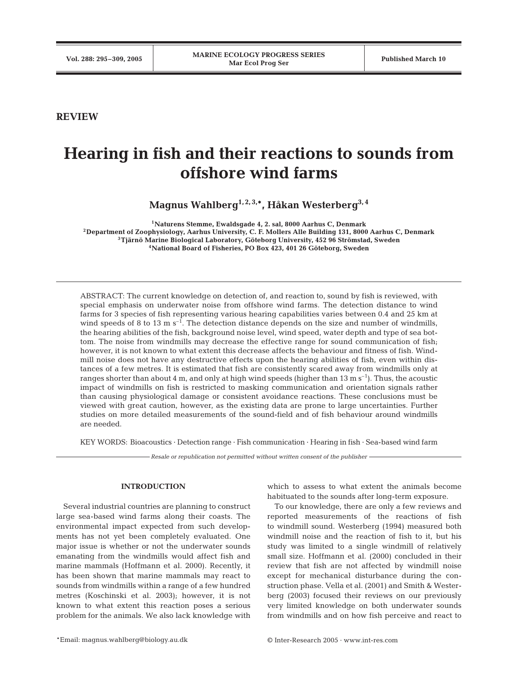**REVIEW**

# **Hearing in fish and their reactions to sounds from offshore wind farms**

**Magnus Wahlberg1, 2, 3,\*, Håkan Westerberg3, 4**

**1Naturens Stemme, Ewaldsgade 4, 2. sal, 8000 Aarhus C, Denmark 2Department of Zoophysiology, Aarhus University, C. F. Mollers Alle Building 131, 8000 Aarhus C, Denmark 3Tjärnö Marine Biological Laboratory, Göteborg University, 452 96 Strömstad, Sweden 4National Board of Fisheries, PO Box 423, 401 26 Göteborg, Sweden**

ABSTRACT: The current knowledge on detection of, and reaction to, sound by fish is reviewed, with special emphasis on underwater noise from offshore wind farms. The detection distance to wind farms for 3 species of fish representing various hearing capabilities varies between 0.4 and 25 km at wind speeds of 8 to 13 m  $s^{-1}$ . The detection distance depends on the size and number of windmills, the hearing abilities of the fish, background noise level, wind speed, water depth and type of sea bottom. The noise from windmills may decrease the effective range for sound communication of fish; however, it is not known to what extent this decrease affects the behaviour and fitness of fish. Windmill noise does not have any destructive effects upon the hearing abilities of fish, even within distances of a few metres. It is estimated that fish are consistently scared away from windmills only at ranges shorter than about 4 m, and only at high wind speeds (higher than  $13 \text{ m s}^{-1}$ ). Thus, the acoustic impact of windmills on fish is restricted to masking communication and orientation signals rather than causing physiological damage or consistent avoidance reactions. These conclusions must be viewed with great caution, however, as the existing data are prone to large uncertainties. Further studies on more detailed measurements of the sound-field and of fish behaviour around windmills are needed.

KEY WORDS: Bioacoustics · Detection range · Fish communication · Hearing in fish · Sea-based wind farm

*Resale or republication not permitted without written consent of the publisher*

# **INTRODUCTION**

Several industrial countries are planning to construct large sea-based wind farms along their coasts. The environmental impact expected from such developments has not yet been completely evaluated. One major issue is whether or not the underwater sounds emanating from the windmills would affect fish and marine mammals (Hoffmann et al. 2000). Recently, it has been shown that marine mammals may react to sounds from windmills within a range of a few hundred metres (Koschinski et al. 2003); however, it is not known to what extent this reaction poses a serious problem for the animals. We also lack knowledge with

which to assess to what extent the animals become habituated to the sounds after long-term exposure.

To our knowledge, there are only a few reviews and reported measurements of the reactions of fish to windmill sound. Westerberg (1994) measured both windmill noise and the reaction of fish to it, but his study was limited to a single windmill of relatively small size. Hoffmann et al. (2000) concluded in their review that fish are not affected by windmill noise except for mechanical disturbance during the construction phase. Vella et al. (2001) and Smith & Westerberg (2003) focused their reviews on our previously very limited knowledge on both underwater sounds from windmills and on how fish perceive and react to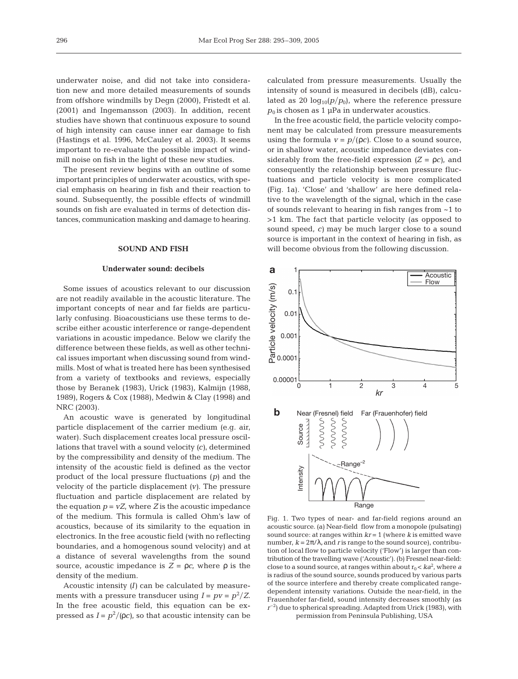underwater noise, and did not take into consideration new and more detailed measurements of sounds from offshore windmills by Degn (2000), Fristedt et al. (2001) and Ingemansson (2003). In addition, recent studies have shown that continuous exposure to sound of high intensity can cause inner ear damage to fish (Hastings et al. 1996, McCauley et al. 2003). It seems important to re-evaluate the possible impact of windmill noise on fish in the light of these new studies.

The present review begins with an outline of some important principles of underwater acoustics, with special emphasis on hearing in fish and their reaction to sound. Subsequently, the possible effects of windmill sounds on fish are evaluated in terms of detection distances, communication masking and damage to hearing.

## **SOUND AND FISH**

## **Underwater sound: decibels**

Some issues of acoustics relevant to our discussion are not readily available in the acoustic literature. The important concepts of near and far fields are particularly confusing. Bioacousticians use these terms to describe either acoustic interference or range-dependent variations in acoustic impedance. Below we clarify the difference between these fields, as well as other technical issues important when discussing sound from windmills. Most of what is treated here has been synthesised from a variety of textbooks and reviews, especially those by Beranek (1983), Urick (1983), Kalmijn (1988, 1989), Rogers & Cox (1988), Medwin & Clay (1998) and NRC (2003).

An acoustic wave is generated by longitudinal particle displacement of the carrier medium (e.g. air, water). Such displacement creates local pressure oscillations that travel with a sound velocity *(c)*, determined by the compressibility and density of the medium. The intensity of the acoustic field is defined as the vector product of the local pressure fluctuations *(p)* and the velocity of the particle displacement *(v)*. The pressure fluctuation and particle displacement are related by the equation  $p = vZ$ , where  $Z$  is the acoustic impedance of the medium. This formula is called Ohm's law of acoustics, because of its similarity to the equation in electronics. In the free acoustic field (with no reflecting boundaries, and a homogenous sound velocity) and at a distance of several wavelengths from the sound source, acoustic impedance is *Z* = ρ*c*, where ρ is the density of the medium.

Acoustic intensity *(I)* can be calculated by measurements with a pressure transducer using  $I = pv = p^2/Z$ . In the free acoustic field, this equation can be expressed as  $I = p^2/(\rho c)$ , so that acoustic intensity can be

calculated from pressure measurements. Usually the intensity of sound is measured in decibels (dB), calculated as 20  $log_{10}(p/p_0)$ , where the reference pressure  $p_0$  is chosen as 1  $\mu$ Pa in underwater acoustics.

In the free acoustic field, the particle velocity component may be calculated from pressure measurements using the formula  $v = p/(\rho c)$ . Close to a sound source, or in shallow water, acoustic impedance deviates considerably from the free-field expression  $(Z = \rho c)$ , and consequently the relationship between pressure fluctuations and particle velocity is more complicated (Fig. 1a). 'Close' and 'shallow' are here defined relative to the wavelength of the signal, which in the case of sounds relevant to hearing in fish ranges from ~1 to >1 km. The fact that particle velocity (as opposed to sound speed, *c)* may be much larger close to a sound source is important in the context of hearing in fish, as will become obvious from the following discussion.



Fig. 1. Two types of near- and far-field regions around an acoustic source. (a) Near-field flow from a monopole (pulsating) sound source: at ranges within *kr* = 1 (where *k* is emitted wave number,  $k = 2\pi/\lambda$ , and *r* is range to the sound source), contribution of local flow to particle velocity ('Flow') is larger than contribution of the travelling wave ('Acoustic'). (b) Fresnel near-field: close to a sound source, at ranges within about  $r_0 < k a^2$ , where *a* is radius of the sound source, sounds produced by various parts of the source interfere and thereby create complicated rangedependent intensity variations. Outside the near-field, in the Frauenhofer far-field, sound intensity decreases smoothly (as  $r^{-2}$ ) due to spherical spreading. Adapted from Urick (1983), with permission from Peninsula Publishing, USA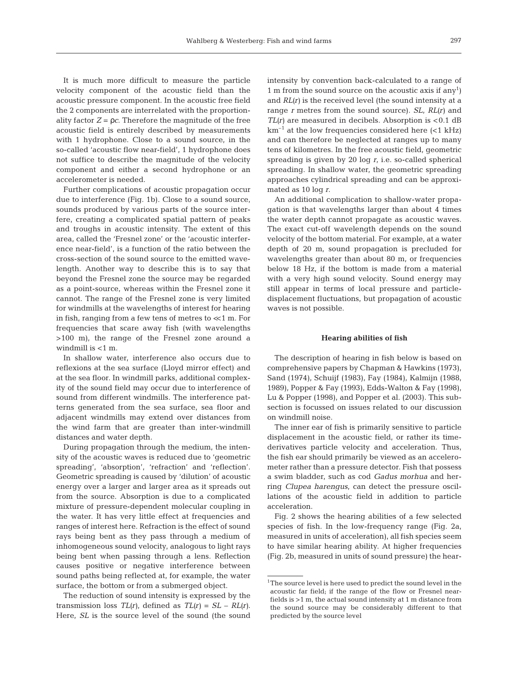It is much more difficult to measure the particle velocity component of the acoustic field than the acoustic pressure component. In the acoustic free field the 2 components are interrelated with the proportionality factor  $Z = \rho c$ . Therefore the magnitude of the free acoustic field is entirely described by measurements with 1 hydrophone. Close to a sound source, in the so-called 'acoustic flow near-field', 1 hydrophone does not suffice to describe the magnitude of the velocity component and either a second hydrophone or an accelerometer is needed.

Further complications of acoustic propagation occur due to interference (Fig. 1b). Close to a sound source, sounds produced by various parts of the source interfere, creating a complicated spatial pattern of peaks and troughs in acoustic intensity. The extent of this area, called the 'Fresnel zone' or the 'acoustic interference near-field', is a function of the ratio between the cross-section of the sound source to the emitted wavelength. Another way to describe this is to say that beyond the Fresnel zone the source may be regarded as a point-source, whereas within the Fresnel zone it cannot. The range of the Fresnel zone is very limited for windmills at the wavelengths of interest for hearing in fish, ranging from a few tens of metres to  $\ll 1$  m. For frequencies that scare away fish (with wavelengths >100 m), the range of the Fresnel zone around a windmill is <1 m.

In shallow water, interference also occurs due to reflexions at the sea surface (Lloyd mirror effect) and at the sea floor. In windmill parks, additional complexity of the sound field may occur due to interference of sound from different windmills. The interference patterns generated from the sea surface, sea floor and adjacent windmills may extend over distances from the wind farm that are greater than inter-windmill distances and water depth.

During propagation through the medium, the intensity of the acoustic waves is reduced due to 'geometric spreading', 'absorption', 'refraction' and 'reflection'. Geometric spreading is caused by 'dilution' of acoustic energy over a larger and larger area as it spreads out from the source. Absorption is due to a complicated mixture of pressure-dependent molecular coupling in the water. It has very little effect at frequencies and ranges of interest here. Refraction is the effect of sound rays being bent as they pass through a medium of inhomogeneous sound velocity, analogous to light rays being bent when passing through a lens. Reflection causes positive or negative interference between sound paths being reflected at, for example, the water surface, the bottom or from a submerged object.

The reduction of sound intensity is expressed by the transmission loss  $TL(r)$ , defined as  $TL(r) = SL - RL(r)$ . Here, *SL* is the source level of the sound (the sound intensity by convention back-calculated to a range of 1 m from the sound source on the acoustic axis if  $\text{any}^1$ and *RL(r)* is the received level (the sound intensity at a range *r* metres from the sound source). *SL*, *RL(r)* and  $TL(r)$  are measured in decibels. Absorption is  $<0.1$  dB  $km^{-1}$  at the low frequencies considered here (<1 kHz) and can therefore be neglected at ranges up to many tens of kilometres. In the free acoustic field, geometric spreading is given by 20 log *r*, i.e. so-called spherical spreading. In shallow water, the geometric spreading approaches cylindrical spreading and can be approximated as 10 log *r*.

An additional complication to shallow-water propagation is that wavelengths larger than about 4 times the water depth cannot propagate as acoustic waves. The exact cut-off wavelength depends on the sound velocity of the bottom material. For example, at a water depth of 20 m, sound propagation is precluded for wavelengths greater than about 80 m, or frequencies below 18 Hz, if the bottom is made from a material with a very high sound velocity. Sound energy may still appear in terms of local pressure and particledisplacement fluctuations, but propagation of acoustic waves is not possible.

## **Hearing abilities of fish**

The description of hearing in fish below is based on comprehensive papers by Chapman & Hawkins (1973), Sand (1974), Schuijf (1983), Fay (1984), Kalmijn (1988, 1989), Popper & Fay (1993), Edds-Walton & Fay (1998), Lu & Popper (1998), and Popper et al. (2003). This subsection is focussed on issues related to our discussion on windmill noise.

The inner ear of fish is primarily sensitive to particle displacement in the acoustic field, or rather its timederivatives particle velocity and acceleration. Thus, the fish ear should primarily be viewed as an accelerometer rather than a pressure detector. Fish that possess a swim bladder, such as cod *Gadus morhua* and herring *Clupea harengus*, can detect the pressure oscillations of the acoustic field in addition to particle acceleration.

Fig. 2 shows the hearing abilities of a few selected species of fish. In the low-frequency range (Fig. 2a, measured in units of acceleration), all fish species seem to have similar hearing ability. At higher frequencies (Fig. 2b, measured in units of sound pressure) the hear-

<sup>&</sup>lt;sup>1</sup>The source level is here used to predict the sound level in the acoustic far field; if the range of the flow or Fresnel nearfields is >1 m, the actual sound intensity at 1 m distance from the sound source may be considerably different to that predicted by the source level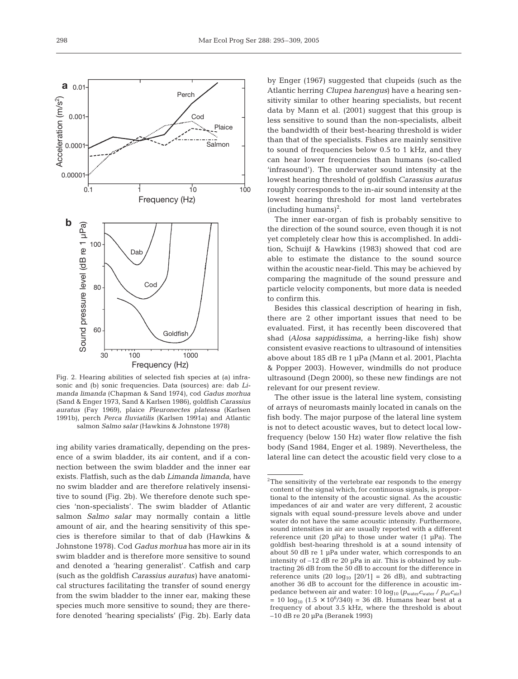

Fig. 2. Hearing abilities of selected fish species at (a) infrasonic and (b) sonic frequencies. Data (sources) are: dab *Limanda limanda* (Chapman & Sand 1974), cod *Gadus morhua* (Sand & Enger 1973, Sand & Karlsen 1986), goldfish *Carassius auratus* (Fay 1969), plaice *Pleuronectes platessa* (Karlsen 1991b), perch *Perca fluviatilis* (Karlsen 1991a) and Atlantic salmon *Salmo salar* (Hawkins & Johnstone 1978)

ing ability varies dramatically, depending on the presence of a swim bladder, its air content, and if a connection between the swim bladder and the inner ear exists. Flatfish, such as the dab *Limanda limanda,* have no swim bladder and are therefore relatively insensitive to sound (Fig. 2b). We therefore denote such species 'non-specialists'. The swim bladder of Atlantic salmon *Salmo salar* may normally contain a little amount of air, and the hearing sensitivity of this species is therefore similar to that of dab (Hawkins & Johnstone 1978). Cod *Gadus morhua* has more air in its swim bladder and is therefore more sensitive to sound and denoted a 'hearing generalist'. Catfish and carp (such as the goldfish *Carassius auratus)* have anatomical structures facilitating the transfer of sound energy from the swim bladder to the inner ear, making these species much more sensitive to sound; they are therefore denoted 'hearing specialists' (Fig. 2b). Early data by Enger (1967) suggested that clupeids (such as the Atlantic herring *Clupea harengus*) have a hearing sensitivity similar to other hearing specialists, but recent data by Mann et al. (2001) suggest that this group is less sensitive to sound than the non-specialists, albeit the bandwidth of their best-hearing threshold is wider than that of the specialists. Fishes are mainly sensitive to sound of frequencies below 0.5 to 1 kHz, and they can hear lower frequencies than humans (so-called 'infrasound'). The underwater sound intensity at the lowest hearing threshold of goldfish *Carassius auratus* roughly corresponds to the in-air sound intensity at the lowest hearing threshold for most land vertebrates  $(including humans)<sup>2</sup>$ .

The inner ear-organ of fish is probably sensitive to the direction of the sound source, even though it is not yet completely clear how this is accomplished. In addition, Schuijf & Hawkins (1983) showed that cod are able to estimate the distance to the sound source within the acoustic near-field. This may be achieved by comparing the magnitude of the sound pressure and particle velocity components, but more data is needed to confirm this.

Besides this classical description of hearing in fish, there are 2 other important issues that need to be evaluated. First, it has recently been discovered that shad *(Alosa sappidissima*, a herring-like fish) show consistent evasive reactions to ultrasound of intensities above about 185 dB re 1 µPa (Mann et al. 2001, Plachta & Popper 2003). However, windmills do not produce ultrasound (Degn 2000), so these new findings are not relevant for our present review.

The other issue is the lateral line system, consisting of arrays of neuromasts mainly located in canals on the fish body. The major purpose of the lateral line system is not to detect acoustic waves, but to detect local lowfrequency (below 150 Hz) water flow relative the fish body (Sand 1984, Enger et al. 1989). Nevertheless, the lateral line can detect the acoustic field very close to a

<sup>&</sup>lt;sup>2</sup>The sensitivity of the vertebrate ear responds to the energy content of the signal which, for continuous signals, is proportional to the intensity of the acoustic signal. As the acoustic impedances of air and water are very different, 2 acoustic signals with equal sound-pressure levels above and under water do not have the same acoustic intensity. Furthermore, sound intensities in air are usually reported with a different reference unit (20  $\mu$ Pa) to those under water (1  $\mu$ Pa). The goldfish best-hearing threshold is at a sound intensity of about 50 dB re 1 µPa under water, which corresponds to an intensity of –12 dB re 20 µPa in air. This is obtained by subtracting 26 dB from the 50 dB to account for the difference in reference units  $(20 \text{ log}_{10} [20/1] = 26 \text{ dB})$ , and subtracting another 36 dB to account for the difference in acoustic impedance between air and water: 10 log10 (*p*water*c*water / *p*air*c*air)  $= 10 \log_{10} (1.5 \times 10^6/340) = 36$  dB. Humans hear best at a frequency of about 3.5 kHz, where the threshold is about –10 dB re 20 µPa (Beranek 1993)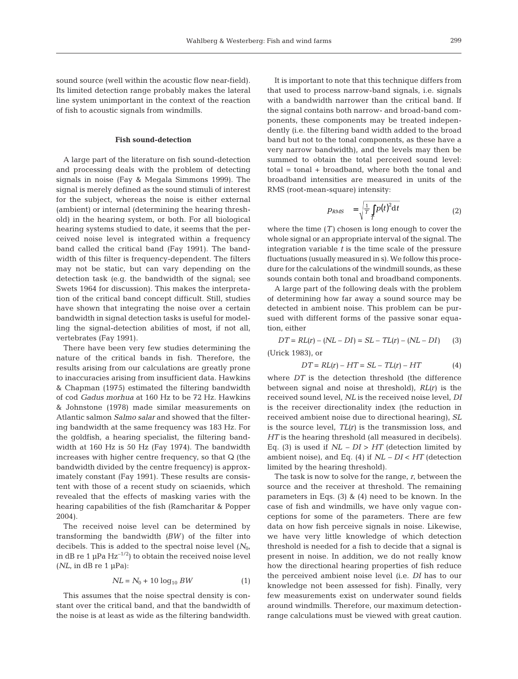sound source (well within the acoustic flow near-field). Its limited detection range probably makes the lateral line system unimportant in the context of the reaction of fish to acoustic signals from windmills.

# **Fish sound-detection**

A large part of the literature on fish sound-detection and processing deals with the problem of detecting signals in noise (Fay & Megala Simmons 1999). The signal is merely defined as the sound stimuli of interest for the subject, whereas the noise is either external (ambient) or internal (determining the hearing threshold) in the hearing system, or both. For all biological hearing systems studied to date, it seems that the perceived noise level is integrated within a frequency band called the critical band (Fay 1991). The bandwidth of this filter is frequency-dependent. The filters may not be static, but can vary depending on the detection task (e.g. the bandwidth of the signal; see Swets 1964 for discussion). This makes the interpretation of the critical band concept difficult. Still, studies have shown that integrating the noise over a certain bandwidth in signal detection tasks is useful for modelling the signal-detection abilities of most, if not all, vertebrates (Fay 1991).

There have been very few studies determining the nature of the critical bands in fish. Therefore, the results arising from our calculations are greatly prone to inaccuracies arising from insufficient data. Hawkins & Chapman (1975) estimated the filtering bandwidth of cod *Gadus morhua* at 160 Hz to be 72 Hz. Hawkins & Johnstone (1978) made similar measurements on Atlantic salmon *Salmo salar* and showed that the filtering bandwidth at the same frequency was 183 Hz. For the goldfish, a hearing specialist, the filtering bandwidth at 160 Hz is 50 Hz (Fay 1974). The bandwidth increases with higher centre frequency, so that Q (the bandwidth divided by the centre frequency) is approximately constant (Fay 1991). These results are consistent with those of a recent study on sciaenids, which revealed that the effects of masking varies with the hearing capabilities of the fish (Ramcharitar & Popper 2004).

The received noise level can be determined by transforming the bandwidth *(BW)* of the filter into decibels. This is added to the spectral noise level ( $N_0$ , in dB re 1  $\mu$ Pa Hz<sup>-1/2</sup>) to obtain the received noise level  $(NL, \text{ in dB re 1 } \mu \text{Pa})$ :

$$
NL = N_0 + 10 \log_{10} BW
$$
 (1)

This assumes that the noise spectral density is constant over the critical band, and that the bandwidth of the noise is at least as wide as the filtering bandwidth.

It is important to note that this technique differs from that used to process narrow-band signals, i.e. signals with a bandwidth narrower than the critical band. If the signal contains both narrow- and broad-band components, these components may be treated independently (i.e. the filtering band width added to the broad band but not to the tonal components, as these have a very narrow bandwidth), and the levels may then be summed to obtain the total perceived sound level: total = tonal + broadband, where both the tonal and broadband intensities are measured in units of the RMS (root-mean-square) intensity:

$$
p_{RMS} = \sqrt{\frac{1}{T} \int_{T} p(t)^2 dt}
$$
 (2)

where the time  $(T)$  chosen is long enough to cover the whole signal or an appropriate interval of the signal. The integration variable *t* is the time scale of the pressure fluctuations (usually measured in s). We follow this procedure for the calculations of the windmill sounds, as these sounds contain both tonal and broadband components.

A large part of the following deals with the problem of determining how far away a sound source may be detected in ambient noise. This problem can be pursued with different forms of the passive sonar equation, either

$$
DT = RL(r) - (NL - DI) = SL - TL(r) - (NL - DI)
$$
 (3)

(Urick 1983), or

$$
DT = RL(r) - HT = SL - TL(r) - HT \tag{4}
$$

where *DT* is the detection threshold (the difference between signal and noise at threshold), *RL(r)* is the received sound level, *NL* is the received noise level, *DI* is the receiver directionality index (the reduction in received ambient noise due to directional hearing), *SL* is the source level, *TL(r)* is the transmission loss, and *HT* is the hearing threshold (all measured in decibels). Eq. (3) is used if  $NL - DI > HT$  (detection limited by ambient noise), and Eq. (4) if *NL – DI* < *HT* (detection limited by the hearing threshold).

The task is now to solve for the range, *r*, between the source and the receiver at threshold. The remaining parameters in Eqs. (3) & (4) need to be known. In the case of fish and windmills, we have only vague conceptions for some of the parameters. There are few data on how fish perceive signals in noise. Likewise, we have very little knowledge of which detection threshold is needed for a fish to decide that a signal is present in noise. In addition, we do not really know how the directional hearing properties of fish reduce the perceived ambient noise level (i.e. *DI* has to our knowledge not been assessed for fish). Finally, very few measurements exist on underwater sound fields around windmills. Therefore, our maximum detectionrange calculations must be viewed with great caution.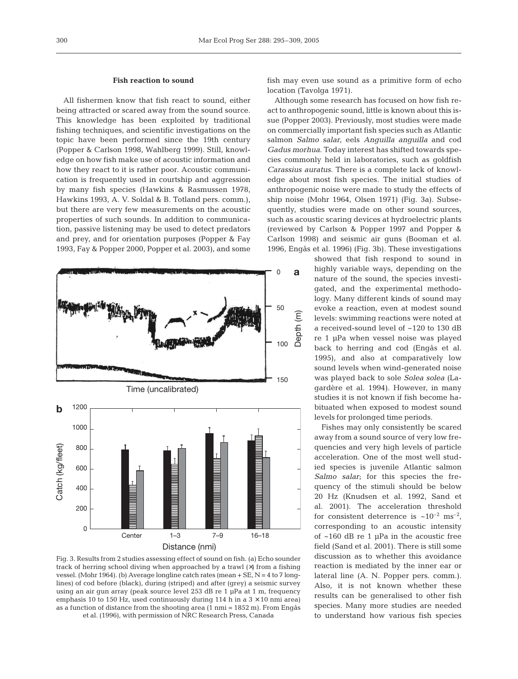# **Fish reaction to sound**

All fishermen know that fish react to sound, either being attracted or scared away from the sound source. This knowledge has been exploited by traditional fishing techniques, and scientific investigations on the topic have been performed since the 19th century (Popper & Carlson 1998, Wahlberg 1999). Still, knowledge on how fish make use of acoustic information and how they react to it is rather poor. Acoustic communication is frequently used in courtship and aggression by many fish species (Hawkins & Rasmussen 1978, Hawkins 1993, A. V. Soldal & B. Totland pers. comm.), but there are very few measurements on the acoustic properties of such sounds. In addition to communication, passive listening may be used to detect predators and prey, and for orientation purposes (Popper & Fay 1993, Fay & Popper 2000, Popper et al. 2003), and some



Fig. 3. Results from 2 studies assessing effect of sound on fish. (a) Echo sounder track of herring school diving when approached by a trawl (×) from a fishing vessel. (Mohr 1964). (b) Average longline catch rates (mean + SE, N = 4 to 7 longlines) of cod before (black), during (striped) and after (grey) a seismic survey using an air gun array (peak source level 253 dB re 1 µPa at 1 m, frequency emphasis 10 to 150 Hz, used continuously during 114 h in a  $3 \times 10$  nmi area) as a function of distance from the shooting area  $(1 \text{ nmi} = 1852 \text{ m})$ . From Engås et al. (1996), with permission of NRC Research Press, Canada

fish may even use sound as a primitive form of echo location (Tavolga 1971).

Although some research has focused on how fish react to anthropogenic sound, little is known about this issue (Popper 2003). Previously, most studies were made on commercially important fish species such as Atlantic salmon *Salmo salar*, eels *Anguilla anguilla* and cod *Gadus morhua*. Today interest has shifted towards species commonly held in laboratories, such as goldfish *Carassius auratus*. There is a complete lack of knowledge about most fish species. The initial studies of anthropogenic noise were made to study the effects of ship noise (Mohr 1964, Olsen 1971) (Fig. 3a). Subsequently, studies were made on other sound sources, such as acoustic scaring devices at hydroelectric plants (reviewed by Carlson & Popper 1997 and Popper & Carlson 1998) and seismic air guns (Booman et al. 1996, Engås et al. 1996) (Fig. 3b). These investigations

> showed that fish respond to sound in highly variable ways, depending on the nature of the sound, the species investigated, and the experimental methodology. Many different kinds of sound may evoke a reaction, even at modest sound levels: swimming reactions were noted at a received-sound level of ~120 to 130 dB re 1 µPa when vessel noise was played back to herring and cod (Engås et al. 1995), and also at comparatively low sound levels when wind-generated noise was played back to sole *Solea solea* (Lagardère et al. 1994). However, in many studies it is not known if fish become habituated when exposed to modest sound levels for prolonged time periods.

Fishes may only consistently be scared away from a sound source of very low frequencies and very high levels of particle acceleration. One of the most well studied species is juvenile Atlantic salmon *Salmo salar*; for this species the frequency of the stimuli should be below 20 Hz (Knudsen et al. 1992, Sand et al. 2001). The acceleration threshold for consistent deterrence is  $\sim 10^{-2}$  ms<sup>-2</sup>, corresponding to an acoustic intensity of ~160 dB re 1 µPa in the acoustic free field (Sand et al. 2001). There is still some discussion as to whether this avoidance reaction is mediated by the inner ear or lateral line (A. N. Popper pers. comm.). Also, it is not known whether these results can be generalised to other fish species. Many more studies are needed to understand how various fish species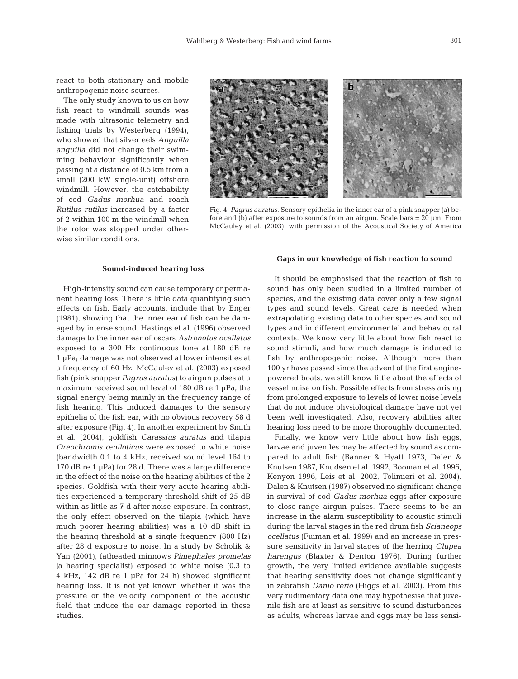react to both stationary and mobile anthropogenic noise sources.

The only study known to us on how fish react to windmill sounds was made with ultrasonic telemetry and fishing trials by Westerberg (1994), who showed that silver eels *Anguilla anguilla* did not change their swimming behaviour significantly when passing at a distance of 0.5 km from a small (200 kW single-unit) offshore windmill. However, the catchability of cod *Gadus morhua* and roach *Rutilus rutilus* increased by a factor of 2 within 100 m the windmill when the rotor was stopped under otherwise similar conditions.



Fig. 4. *Pagrus auratus.* Sensory epithelia in the inner ear of a pink snapper (a) before and (b) after exposure to sounds from an airgun. Scale bars  $= 20 \mu m$ . From McCauley et al. (2003), with permission of the Acoustical Society of America

## **Sound-induced hearing loss**

High-intensity sound can cause temporary or permanent hearing loss. There is little data quantifying such effects on fish. Early accounts, include that by Enger (1981), showing that the inner ear of fish can be damaged by intense sound. Hastings et al. (1996) observed damage to the inner ear of oscars *Astronotus ocellatus* exposed to a 300 Hz continuous tone at 180 dB re 1 µPa; damage was not observed at lower intensities at a frequency of 60 Hz. McCauley et al. (2003) exposed fish (pink snapper *Pagrus auratus*) to airgun pulses at a maximum received sound level of 180 dB re 1 µPa, the signal energy being mainly in the frequency range of fish hearing. This induced damages to the sensory epithelia of the fish ear, with no obvious recovery 58 d after exposure (Fig. 4). In another experiment by Smith et al. (2004), goldfish *Carassius auratus* and tilapia *Oreochromis œniloticus* were exposed to white noise (bandwidth 0.1 to 4 kHz, received sound level 164 to 170 dB re 1 µPa) for 28 d. There was a large difference in the effect of the noise on the hearing abilities of the 2 species. Goldfish with their very acute hearing abilities experienced a temporary threshold shift of 25 dB within as little as 7 d after noise exposure. In contrast, the only effect observed on the tilapia (which have much poorer hearing abilities) was a 10 dB shift in the hearing threshold at a single frequency (800 Hz) after 28 d exposure to noise. In a study by Scholik & Yan (2001), fatheaded minnows *Pimephales promelas (*a hearing specialist) exposed to white noise (0.3 to 4 kHz, 142 dB re 1 µPa for 24 h) showed significant hearing loss. It is not yet known whether it was the pressure or the velocity component of the acoustic field that induce the ear damage reported in these studies.

### **Gaps in our knowledge of fish reaction to sound**

It should be emphasised that the reaction of fish to sound has only been studied in a limited number of species, and the existing data cover only a few signal types and sound levels. Great care is needed when extrapolating existing data to other species and sound types and in different environmental and behavioural contexts. We know very little about how fish react to sound stimuli, and how much damage is induced to fish by anthropogenic noise. Although more than 100 yr have passed since the advent of the first enginepowered boats, we still know little about the effects of vessel noise on fish. Possible effects from stress arising from prolonged exposure to levels of lower noise levels that do not induce physiological damage have not yet been well investigated. Also, recovery abilities after hearing loss need to be more thoroughly documented.

Finally, we know very little about how fish eggs, larvae and juveniles may be affected by sound as compared to adult fish (Banner & Hyatt 1973, Dalen & Knutsen 1987, Knudsen et al. 1992, Booman et al. 1996, Kenyon 1996, Leis et al. 2002, Tolimieri et al. 2004). Dalen & Knutsen (1987) observed no significant change in survival of cod *Gadus morhua* eggs after exposure to close-range airgun pulses. There seems to be an increase in the alarm susceptibility to acoustic stimuli during the larval stages in the red drum fish *Scianeops ocellatus* (Fuiman et al. 1999) and an increase in pressure sensitivity in larval stages of the herring *Clupea harengus* (Blaxter & Denton 1976). During further growth, the very limited evidence available suggests that hearing sensitivity does not change significantly in zebrafish *Danio rerio* (Higgs et al. 2003). From this very rudimentary data one may hypothesise that juvenile fish are at least as sensitive to sound disturbances as adults, whereas larvae and eggs may be less sensi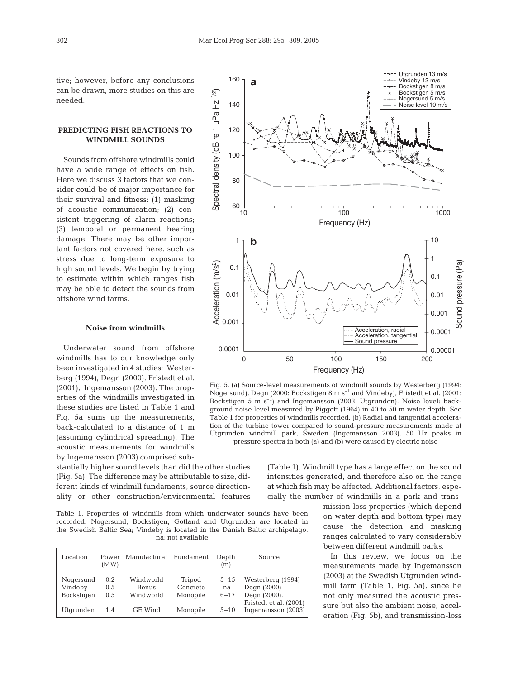tive; however, before any conclusions can be drawn, more studies on this are needed.

# **PREDICTING FISH REACTIONS TO WINDMILL SOUNDS**

Sounds from offshore windmills could have a wide range of effects on fish. Here we discuss 3 factors that we consider could be of major importance for their survival and fitness: (1) masking of acoustic communication; (2) consistent triggering of alarm reactions; (3) temporal or permanent hearing damage. There may be other important factors not covered here, such as stress due to long-term exposure to high sound levels. We begin by trying to estimate within which ranges fish may be able to detect the sounds from offshore wind farms.

### **Noise from windmills**

Underwater sound from offshore windmills has to our knowledge only been investigated in 4 studies: Westerberg (1994), Degn (2000), Fristedt et al. (2001), Ingemansson (2003). The properties of the windmills investigated in these studies are listed in Table 1 and Fig. 5a sums up the measurements, back-calculated to a distance of 1 m (assuming cylindrical spreading). The acoustic measurements for windmills by Ingemansson (2003) comprised sub-

stantially higher sound levels than did the other studies (Fig. 5a). The difference may be attributable to size, different kinds of windmill fundaments, source directionality or other construction/environmental features

Table 1. Properties of windmills from which underwater sounds have been recorded. Nogersund, Bockstigen, Gotland and Utgrunden are located in the Swedish Baltic Sea; Vindeby is located in the Danish Baltic archipelago. na: not available

| Location   | (MW) | Power Manufacturer Fundament |          | Depth<br>(m) | Source                 |
|------------|------|------------------------------|----------|--------------|------------------------|
| Nogersund  | 0.2  | Windworld                    | Tripod   | $5 - 15$     | Westerberg (1994)      |
| Vindeby    | 0.5  | <b>Bonus</b>                 | Concrete | na           | Degn (2000)            |
| Bockstigen | 0.5  | Windworld                    | Monopile | $6 - 17$     | Degn (2000),           |
|            |      |                              |          |              | Fristedt et al. (2001) |
| Utgrunden  | 1.4  | <b>GE</b> Wind               | Monopile | $5 - 10$     | Ingemansson (2003)     |



Fig. 5. (a) Source-level measurements of windmill sounds by Westerberg (1994: Nogersund), Degn (2000: Bockstigen 8 m  $s^{-1}$  and Vindeby), Fristedt et al. (2001: Bockstigen 5 m s<sup>-1</sup>) and Ingemansson (2003: Utgrunden). Noise level: background noise level measured by Piggott (1964) in 40 to 50 m water depth. See Table 1 for properties of windmills recorded. (b) Radial and tangential acceleration of the turbine tower compared to sound-pressure measurements made at Utgrunden windmill park, Sweden (Ingemansson 2003). 50 Hz peaks in pressure spectra in both (a) and (b) were caused by electric noise

(Table 1). Windmill type has a large effect on the sound intensities generated, and therefore also on the range at which fish may be affected. Additional factors, especially the number of windmills in a park and trans-

> mission-loss properties (which depend on water depth and bottom type) may cause the detection and masking ranges calculated to vary considerably between different windmill parks.

> In this review, we focus on the measurements made by Ingemansson (2003) at the Swedish Utgrunden windmill farm (Table 1, Fig. 5a), since he not only measured the acoustic pressure but also the ambient noise, acceleration (Fig. 5b), and transmission-loss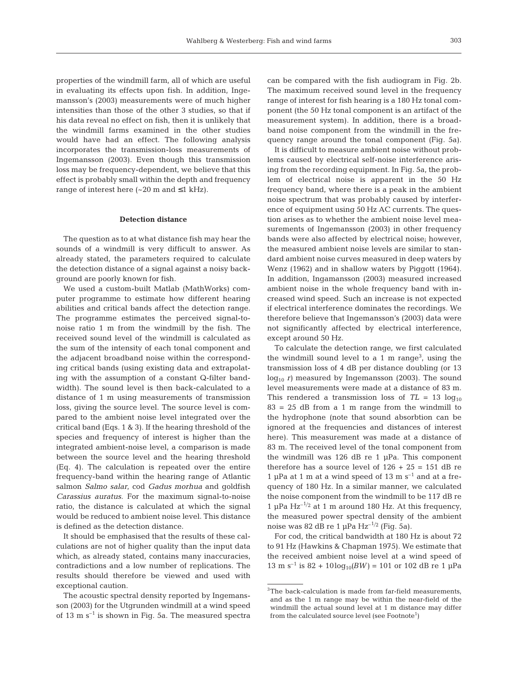properties of the windmill farm, all of which are useful in evaluating its effects upon fish. In addition, Ingemansson's (2003) measurements were of much higher intensities than those of the other 3 studies, so that if his data reveal no effect on fish, then it is unlikely that the windmill farms examined in the other studies would have had an effect. The following analysis incorporates the transmission-loss measurements of Ingemansson (2003). Even though this transmission loss may be frequency-dependent, we believe that this effect is probably small within the depth and frequency range of interest here  $(-20 \text{ m and } \leq 1 \text{ kHz})$ .

## **Detection distance**

The question as to at what distance fish may hear the sounds of a windmill is very difficult to answer. As already stated, the parameters required to calculate the detection distance of a signal against a noisy background are poorly known for fish.

We used a custom-built Matlab (MathWorks) computer programme to estimate how different hearing abilities and critical bands affect the detection range. The programme estimates the perceived signal-tonoise ratio 1 m from the windmill by the fish. The received sound level of the windmill is calculated as the sum of the intensity of each tonal component and the adjacent broadband noise within the corresponding critical bands (using existing data and extrapolating with the assumption of a constant Q-filter bandwidth). The sound level is then back-calculated to a distance of 1 m using measurements of transmission loss, giving the source level. The source level is compared to the ambient noise level integrated over the critical band (Eqs. 1 & 3). If the hearing threshold of the species and frequency of interest is higher than the integrated ambient-noise level, a comparison is made between the source level and the hearing threshold (Eq. 4). The calculation is repeated over the entire frequency-band within the hearing range of Atlantic salmon *Salmo salar*, cod *Gadus morhua* and goldfish *Carassius auratus*. For the maximum signal-to-noise ratio, the distance is calculated at which the signal would be reduced to ambient noise level. This distance is defined as the detection distance.

It should be emphasised that the results of these calculations are not of higher quality than the input data which, as already stated, contains many inaccuracies, contradictions and a low number of replications. The results should therefore be viewed and used with exceptional caution.

The acoustic spectral density reported by Ingemansson (2003) for the Utgrunden windmill at a wind speed of 13 m  $s^{-1}$  is shown in Fig. 5a. The measured spectra

can be compared with the fish audiogram in Fig. 2b. The maximum received sound level in the frequency range of interest for fish hearing is a 180 Hz tonal component (the 50 Hz tonal component is an artifact of the measurement system). In addition, there is a broadband noise component from the windmill in the frequency range around the tonal component (Fig. 5a).

It is difficult to measure ambient noise without problems caused by electrical self-noise interference arising from the recording equipment. In Fig. 5a, the problem of electrical noise is apparent in the 50 Hz frequency band, where there is a peak in the ambient noise spectrum that was probably caused by interference of equipment using 50 Hz AC currents. The question arises as to whether the ambient noise level measurements of Ingemansson (2003) in other frequency bands were also affected by electrical noise; however, the measured ambient noise levels are similar to standard ambient noise curves measured in deep waters by Wenz (1962) and in shallow waters by Piggott (1964). In addition, Ingamansson (2003) measured increased ambient noise in the whole frequency band with increased wind speed. Such an increase is not expected if electrical interference dominates the recordings. We therefore believe that Ingemansson's (2003) data were not significantly affected by electrical interference, except around 50 Hz.

To calculate the detection range, we first calculated the windmill sound level to a  $1 \text{ m}$  range<sup>3</sup>, using the transmission loss of 4 dB per distance doubling (or 13 log<sub>10</sub> *r*) measured by Ingemansson (2003). The sound level measurements were made at a distance of 83 m. This rendered a transmission loss of  $TL = 13 \log_{10}$  $83 = 25$  dB from a 1 m range from the windmill to the hydrophone (note that sound absorbtion can be ignored at the frequencies and distances of interest here). This measurement was made at a distance of 83 m. The received level of the tonal component from the windmill was 126 dB re 1 µPa. This component therefore has a source level of  $126 + 25 = 151$  dB re 1 µPa at 1 m at a wind speed of  $13 \text{ m s}^{-1}$  and at a frequency of 180 Hz. In a similar manner, we calculated the noise component from the windmill to be 117 dB re 1 µPa  $\text{Hz}^{-1/2}$  at 1 m around 180 Hz. At this frequency, the measured power spectral density of the ambient noise was 82 dB re 1 µPa  $Hz^{-1/2}$  (Fig. 5a).

For cod, the critical bandwidth at 180 Hz is about 72 to 91 Hz (Hawkins & Chapman 1975). We estimate that the received ambient noise level at a wind speed of 13 m s<sup>-1</sup> is 82 + 10log<sub>10</sub>( $BW$ ) = 101 or 102 dB re 1  $\mu$ Pa

<sup>3</sup>The back-calculation is made from far-field measurements, and as the 1 m range may be within the near-field of the windmill the actual sound level at 1 m distance may differ from the calculated source level (see Footnote<sup>1</sup>)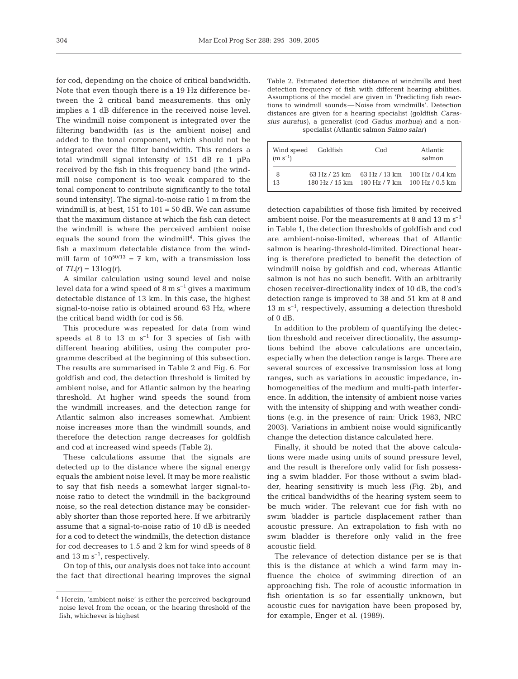for cod, depending on the choice of critical bandwidth. Note that even though there is a 19 Hz difference between the 2 critical band measurements, this only implies a 1 dB difference in the received noise level. The windmill noise component is integrated over the filtering bandwidth (as is the ambient noise) and added to the tonal component, which should not be integrated over the filter bandwidth. This renders a total windmill signal intensity of 151 dB re 1 µPa received by the fish in this frequency band (the windmill noise component is too weak compared to the tonal component to contribute significantly to the total sound intensity). The signal-to-noise ratio 1 m from the windmill is, at best,  $151$  to  $101 = 50$  dB. We can assume that the maximum distance at which the fish can detect the windmill is where the perceived ambient noise equals the sound from the windmill<sup>4</sup>. This gives the fish a maximum detectable distance from the windmill farm of  $10^{50/13}$  = 7 km, with a transmission loss of  $TL(r) = 13 \log(r)$ .

A similar calculation using sound level and noise level data for a wind speed of  $8 \text{ m s}^{-1}$  gives a maximum detectable distance of 13 km. In this case, the highest signal-to-noise ratio is obtained around 63 Hz, where the critical band width for cod is 56.

This procedure was repeated for data from wind speeds at 8 to 13 m  $s^{-1}$  for 3 species of fish with different hearing abilities, using the computer programme described at the beginning of this subsection. The results are summarised in Table 2 and Fig. 6. For goldfish and cod, the detection threshold is limited by ambient noise, and for Atlantic salmon by the hearing threshold. At higher wind speeds the sound from the windmill increases, and the detection range for Atlantic salmon also increases somewhat. Ambient noise increases more than the windmill sounds, and therefore the detection range decreases for goldfish and cod at increased wind speeds (Table 2).

These calculations assume that the signals are detected up to the distance where the signal energy equals the ambient noise level. It may be more realistic to say that fish needs a somewhat larger signal-tonoise ratio to detect the windmill in the background noise, so the real detection distance may be considerably shorter than those reported here. If we arbitrarily assume that a signal-to-noise ratio of 10 dB is needed for a cod to detect the windmills, the detection distance for cod decreases to 1.5 and 2 km for wind speeds of 8 and 13 m  $s^{-1}$ , respectively.

On top of this, our analysis does not take into account the fact that directional hearing improves the signal

Table 2. Estimated detection distance of windmills and best detection frequency of fish with different hearing abilities. Assumptions of the model are given in 'Predicting fish reactions to windmill sounds—Noise from windmills'. Detection distances are given for a hearing specialist (goldfish *Carassius auratus)*, a generalist (cod *Gadus morhua)* and a nonspecialist (Atlantic salmon *Salmo salar)*

| Wind speed Goldfish<br>$(m s^{-1})$ |               | Cod | Atlantic<br>salmon                                                                |
|-------------------------------------|---------------|-----|-----------------------------------------------------------------------------------|
| 8<br>13                             | 63 Hz / 25 km |     | 63 Hz $/$ 13 km 100 Hz $/$ 0.4 km<br>180 Hz / 15 km 180 Hz / 7 km 100 Hz / 0.5 km |

detection capabilities of those fish limited by received ambient noise. For the measurements at 8 and 13 m  $s^{-1}$ in Table 1, the detection thresholds of goldfish and cod are ambient-noise-limited, whereas that of Atlantic salmon is hearing-threshold-limited. Directional hearing is therefore predicted to benefit the detection of windmill noise by goldfish and cod, whereas Atlantic salmon is not has no such benefit. With an arbitrarily chosen receiver-directionality index of 10 dB, the cod's detection range is improved to 38 and 51 km at 8 and 13 m  $s^{-1}$ , respectively, assuming a detection threshold of 0 dB.

In addition to the problem of quantifying the detection threshold and receiver directionality, the assumptions behind the above calculations are uncertain, especially when the detection range is large. There are several sources of excessive transmission loss at long ranges, such as variations in acoustic impedance, inhomogeneities of the medium and multi-path interference. In addition, the intensity of ambient noise varies with the intensity of shipping and with weather conditions (e.g. in the presence of rain: Urick 1983, NRC 2003). Variations in ambient noise would significantly change the detection distance calculated here.

Finally, it should be noted that the above calculations were made using units of sound pressure level, and the result is therefore only valid for fish possessing a swim bladder. For those without a swim bladder, hearing sensitivity is much less (Fig. 2b), and the critical bandwidths of the hearing system seem to be much wider. The relevant cue for fish with no swim bladder is particle displacement rather than acoustic pressure. An extrapolation to fish with no swim bladder is therefore only valid in the free acoustic field.

The relevance of detection distance per se is that this is the distance at which a wind farm may influence the choice of swimming direction of an approaching fish. The role of acoustic information in fish orientation is so far essentially unknown, but acoustic cues for navigation have been proposed by, for example, Enger et al. (1989).

<sup>4</sup> Herein, 'ambient noise' is either the perceived background noise level from the ocean, or the hearing threshold of the fish, whichever is highest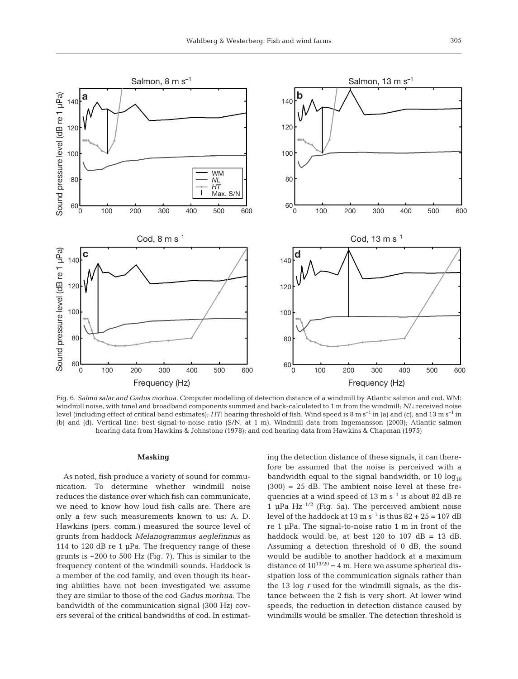

Fig. 6. *Salmo salar and Gadus morhua.* Computer modelling of detection distance of a windmill by Atlantic salmon and cod*.* WM: windmill noise, with tonal and broadband components summed and back-calculated to 1 m from the windmill; *NL*: received noise level (including effect of critical band estimates); *HT*: hearing threshold of fish. Wind speed is 8 m s<sup>-1</sup> in (a) and (c), and 13 m s<sup>-1</sup> in (b) and (d). Vertical line: best signal-to-noise ratio (S/N, at 1 m). Windmill data from Ingemansson (2003); Atlantic salmon hearing data from Hawkins & Johnstone (1978); and cod hearing data from Hawkins & Chapman (1975)

## **Masking**

As noted, fish produce a variety of sound for communication. To determine whether windmill noise reduces the distance over which fish can communicate, we need to know how loud fish calls are. There are only a few such measurements known to us: A. D. Hawkins (pers. comm.) measured the source level of grunts from haddock *Melanogrammus aeglefinnus* as 114 to 120 dB re 1 µPa. The frequency range of these grunts is  $\sim$  200 to 500 Hz (Fig. 7). This is similar to the frequency content of the windmill sounds. Haddock is a member of the cod family, and even though its hearing abilities have not been investigated we assume they are similar to those of the cod *Gadus morhua*. The bandwidth of the communication signal (300 Hz) covers several of the critical bandwidths of cod. In estimating the detection distance of these signals, it can therefore be assumed that the noise is perceived with a bandwidth equal to the signal bandwidth, or 10  $log_{10}$  $(300) = 25$  dB. The ambient noise level at these frequencies at a wind speed of 13 m  $s^{-1}$  is about 82 dB re 1  $\mu$ Pa Hz<sup>-1/2</sup> (Fig. 5a). The perceived ambient noise level of the haddock at  $13 \text{ m s}^{-1}$  is thus  $82 + 25 = 107 \text{ dB}$ re 1 µPa. The signal-to-noise ratio 1 m in front of the haddock would be, at best 120 to 107  $dB = 13$  dB. Assuming a detection threshold of 0 dB, the sound would be audible to another haddock at a maximum distance of  $10^{13/20} = 4$  m. Here we assume spherical dissipation loss of the communication signals rather than the 13 log *r* used for the windmill signals, as the distance between the 2 fish is very short. At lower wind speeds, the reduction in detection distance caused by windmills would be smaller. The detection threshold is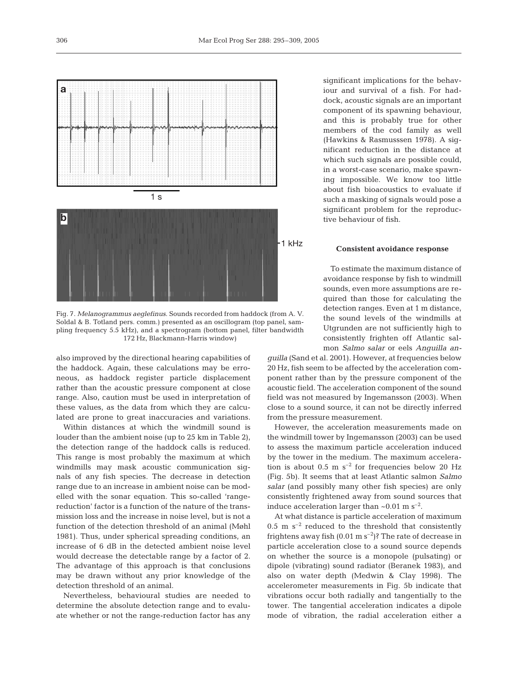

Fig. 7. *Melanogrammus aeglefinus*. Sounds recorded from haddock (from A. V. Soldal & B. Totland pers. comm.) presented as an oscillogram (top panel, sampling frequency 5.5 kHz), and a spectrogram (bottom panel, filter bandwidth 172 Hz, Blackmann-Harris window)

also improved by the directional hearing capabilities of the haddock. Again, these calculations may be erroneous, as haddock register particle displacement rather than the acoustic pressure component at close range. Also, caution must be used in interpretation of these values, as the data from which they are calculated are prone to great inaccuracies and variations.

Within distances at which the windmill sound is louder than the ambient noise (up to 25 km in Table 2), the detection range of the haddock calls is reduced. This range is most probably the maximum at which windmills may mask acoustic communication signals of any fish species. The decrease in detection range due to an increase in ambient noise can be modelled with the sonar equation. This so-called 'rangereduction' factor is a function of the nature of the transmission loss and the increase in noise level, but is not a function of the detection threshold of an animal (Møhl 1981). Thus, under spherical spreading conditions, an increase of 6 dB in the detected ambient noise level would decrease the detectable range by a factor of 2. The advantage of this approach is that conclusions may be drawn without any prior knowledge of the detection threshold of an animal.

Nevertheless, behavioural studies are needed to determine the absolute detection range and to evaluate whether or not the range-reduction factor has any

significant implications for the behaviour and survival of a fish. For haddock, acoustic signals are an important component of its spawning behaviour, and this is probably true for other members of the cod family as well (Hawkins & Rasmusssen 1978). A significant reduction in the distance at which such signals are possible could, in a worst-case scenario, make spawning impossible. We know too little about fish bioacoustics to evaluate if such a masking of signals would pose a significant problem for the reproductive behaviour of fish.

## **Consistent avoidance response**

To estimate the maximum distance of avoidance response by fish to windmill sounds, even more assumptions are required than those for calculating the detection ranges. Even at 1 m distance, the sound levels of the windmills at Utgrunden are not sufficiently high to consistently frighten off Atlantic salmon *Salmo salar* or eels *Anguilla an-*

*guilla* (Sand et al. 2001). However, at frequencies below 20 Hz, fish seem to be affected by the acceleration component rather than by the pressure component of the acoustic field. The acceleration component of the sound field was not measured by Ingemansson (2003). When close to a sound source, it can not be directly inferred from the pressure measurement.

However, the acceleration measurements made on the windmill tower by Ingemansson (2003) can be used to assess the maximum particle acceleration induced by the tower in the medium. The maximum acceleration is about 0.5 m  $s^{-2}$  for frequencies below 20 Hz (Fig. 5b). It seems that at least Atlantic salmon *Salmo salar* (and possibly many other fish species) are only consistently frightened away from sound sources that induce acceleration larger than  $\sim 0.01$  m s<sup>-2</sup>.

At what distance is particle acceleration of maximum  $0.5\,$  m  $\,$  s $^{-2}$  reduced to the threshold that consistently frightens away fish  $(0.01 \text{ m s}^{-2})$ ? The rate of decrease in particle acceleration close to a sound source depends on whether the source is a monopole (pulsating) or dipole (vibrating) sound radiator (Beranek 1983), and also on water depth (Medwin & Clay 1998). The accelerometer measurements in Fig. 5b indicate that vibrations occur both radially and tangentially to the tower. The tangential acceleration indicates a dipole mode of vibration, the radial acceleration either a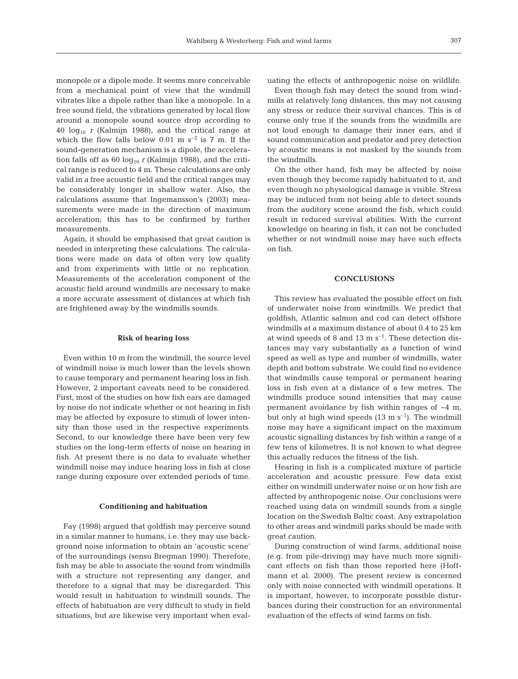monopole or a dipole mode. It seems more conceivable from a mechanical point of view that the windmill vibrates like a dipole rather than like a monopole. In a free sound field, the vibrations generated by local flow around a monopole sound source drop according to  $40 \log_{10} r$  (Kalmijn 1988), and the critical range at which the flow falls below 0.01 m  $s^{-2}$  is 7 m. If the sound-generation mechanism is a dipole, the acceleration falls off as 60  $log_{10} r$  (Kalmijn 1988), and the critical range is reduced to 4 m. These calculations are only valid in a free acoustic field and the critical ranges may be considerably longer in shallow water. Also, the calculations assume that Ingemansson's (2003) measurements were made in the direction of maximum acceleration; this has to be confirmed by further measurements.

Again, it should be emphasised that great caution is needed in interpreting these calculations. The calculations were made on data of often very low quality and from experiments with little or no replication. Measurements of the acceleration component of the acoustic field around windmills are necessary to make a more accurate assessment of distances at which fish are frightened away by the windmills sounds.

## **Risk of hearing loss**

Even within 10 m from the windmill, the source level of windmill noise is much lower than the levels shown to cause temporary and permanent hearing loss in fish. However, 2 important caveats need to be considered. First, most of the studies on how fish ears are damaged by noise do not indicate whether or not hearing in fish may be affected by exposure to stimuli of lower intensity than those used in the respective experiments. Second, to our knowledge there have been very few studies on the long-term effects of noise on hearing in fish. At present there is no data to evaluate whether windmill noise may induce hearing loss in fish at close range during exposure over extended periods of time.

## **Conditioning and habituation**

Fay (1998) argued that goldfish may perceive sound in a similar manner to humans, i.e. they may use background noise information to obtain an 'acoustic scene' of the surroundings (sensu Bregman 1990). Therefore, fish may be able to associate the sound from windmills with a structure not representing any danger, and therefore to a signal that may be disregarded. This would result in habituation to windmill sounds. The effects of habituation are very difficult to study in field situations, but are likewise very important when evaluating the effects of anthropogenic noise on wildlife.

Even though fish may detect the sound from windmills at relatively long distances, this may not causing any stress or reduce their survival chances. This is of course only true if the sounds from the windmills are not loud enough to damage their inner ears, and if sound communication and predator and prey detection by acoustic means is not masked by the sounds from the windmills.

On the other hand, fish may be affected by noise even though they become rapidly habituated to it, and even though no physiological damage is visible. Stress may be induced from not being able to detect sounds from the auditory scene around the fish, which could result in reduced survival abilities. With the current knowledge on hearing in fish, it can not be concluded whether or not windmill noise may have such effects on fish.

# **CONCLUSIONS**

This review has evaluated the possible effect on fish of underwater noise from windmills. We predict that goldfish, Atlantic salmon and cod can detect offshore windmills at a maximum distance of about 0.4 to 25 km at wind speeds of 8 and 13 m  $s^{-1}$ . These detection distances may vary substantially as a function of wind speed as well as type and number of windmills, water depth and bottom substrate. We could find no evidence that windmills cause temporal or permanent hearing loss in fish even at a distance of a few metres. The windmills produce sound intensities that may cause permanent avoidance by fish within ranges of  $~4~\mathrm{m}$ , but only at high wind speeds  $(13 \text{ m s}^{-1})$ . The windmill noise may have a significant impact on the maximum acoustic signalling distances by fish within a range of a few tens of kilometres. It is not known to what degree this actually reduces the fitness of the fish.

Hearing in fish is a complicated mixture of particle acceleration and acoustic pressure. Few data exist either on windmill underwater noise or on how fish are affected by anthropogenic noise. Our conclusions were reached using data on windmill sounds from a single location on the Swedish Baltic coast. Any extrapolation to other areas and windmill parks should be made with great caution.

During construction of wind farms, additional noise (e.g. from pile-driving) may have much more significant effects on fish than those reported here (Hoffmann et al. 2000). The present review is concerned only with noise connected with windmill operations. It is important, however, to incorporate possible disturbances during their construction for an environmental evaluation of the effects of wind farms on fish.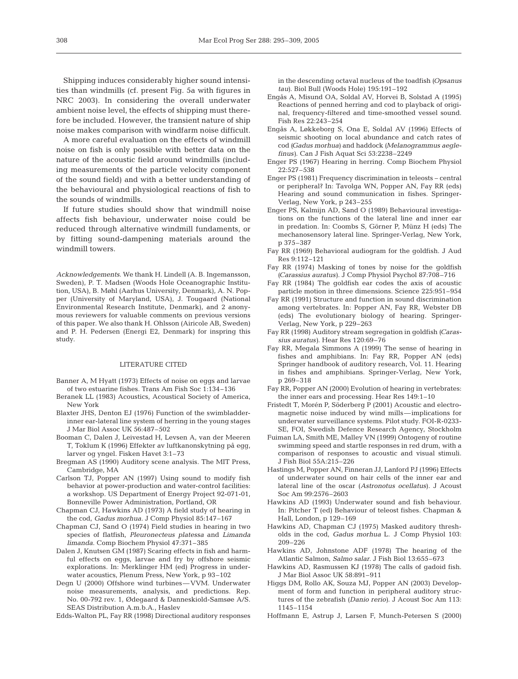Shipping induces considerably higher sound intensities than windmills (cf. present Fig. 5a with figures in NRC 2003). In considering the overall underwater ambient noise level, the effects of shipping must therefore be included. However, the transient nature of ship noise makes comparison with windfarm noise difficult.

A more careful evaluation on the effects of windmill noise on fish is only possible with better data on the nature of the acoustic field around windmills (including measurements of the particle velocity component of the sound field) and with a better understanding of the behavioural and physiological reactions of fish to the sounds of windmills.

If future studies should show that windmill noise affects fish behaviour, underwater noise could be reduced through alternative windmill fundaments, or by fitting sound-dampening materials around the windmill towers.

*Acknowledgements.* We thank H. Lindell (A. B. Ingemansson, Sweden), P. T. Madsen (Woods Hole Oceanographic Institution, USA), B. Møhl (Aarhus University, Denmark), A. N. Popper (University of Maryland, USA), J. Tougaard (National Environmental Research Institute, Denmark), and 2 anonymous reviewers for valuable comments on previous versions of this paper. We also thank H. Ohlsson (Airicole AB, Sweden) and P. H. Pedersen (Energi E2, Denmark) for inspring this study.

#### LITERATURE CITED

- Banner A, M Hyatt (1973) Effects of noise on eggs and larvae of two estuarine fishes. Trans Am Fish Soc 1:134–136
- Beranek LL (1983) Acoustics, Acoustical Society of America, New York
- Blaxter JHS, Denton EJ (1976) Function of the swimbladderinner ear-lateral line system of herring in the young stages J Mar Biol Assoc UK 56:487–502
- Booman C, Dalen J, Leivestad H, Levsen A, van der Meeren T, Toklum K (1996) Effekter av luftkanonskytning på egg, larver og yngel. Fisken Havet 3:1–73
- Bregman AS (1990) Auditory scene analysis. The MIT Press, Cambridge, MA
- Carlson TJ, Popper AN (1997) Using sound to modify fish behavior at power-production and water-control facilities: a workshop. US Department of Energy Project 92-071-01, Bonneville Power Administration, Portland, OR
- Chapman CJ, Hawkins AD (1973) A field study of hearing in the cod, *Gadus morhua*. J Comp Physiol 85:147–167
- Chapman CJ, Sand O (1974) Field studies in hearing in two species of flatfish, *Pleuronecteus platessa* and *Limanda limanda.* Comp Biochem Physiol 47:371–385
- Dalen J, Knutsen GM (1987) Scaring effects in fish and harmful effects on eggs, larvae and fry by offshore seismic explorations. In: Merklinger HM (ed) Progress in underwater acoustics, Plenum Press, New York, p 93–102
- Degn U (2000) Offshore wind turbines—VVM. Underwater noise measurements, analysis, and predictions. Rep. No. 00-792 rev. 1, Ødegaard & Danneskiold-Samsøe A/S. SEAS Distribution A.m.b.A., Haslev
- Edds-Walton PL, Fay RR (1998) Directional auditory responses

in the descending octaval nucleus of the toadfish *(Opsanus tau)*. Biol Bull (Woods Hole) 195:191–192

- Engås A, Misund OA, Soldal AV, Horvei B, Solstad A (1995) Reactions of penned herring and cod to playback of original, frequency-filtered and time-smoothed vessel sound. Fish Res 22:243–254
- Engås A, Løkkeborg S, Ona E, Soldal AV (1996) Effects of seismic shooting on local abundance and catch rates of cod *(Gadus morhua)* and haddock *(Melanogrammus aeglefinus)*. Can J Fish Aquat Sci 53:2238–2249
- Enger PS (1967) Hearing in herring. Comp Biochem Physiol 22:527–538
- Enger PS (1981) Frequency discrimination in teleosts central or peripheral? In: Tavolga WN, Popper AN, Fay RR (eds) Hearing and sound communication in fishes. Springer-Verlag, New York, p 243–255
- Enger PS, Kalmijn AD, Sand O (1989) Behavioural investigations on the functions of the lateral line and inner ear in predation. In: Coombs S, Görner P, Münz H (eds) The mechanosensory lateral line. Springer-Verlag, New York, p 375–387
- Fay RR (1969) Behavioral audiogram for the goldfish. J Aud Res 9:112–121
- Fay RR (1974) Masking of tones by noise for the goldfish *(Carassius auratus)*. J Comp Physiol Psychol 87:708–716
- Fay RR (1984) The goldfish ear codes the axis of acoustic particle motion in three dimensions. Science 225:951–954
- Fay RR (1991) Structure and function in sound discrimination among vertebrates. In: Popper AN, Fay RR, Webster DB (eds) The evolutionary biology of hearing. Springer-Verlag, New York, p 229–263
- Fay RR (1998) Auditory stream segregation in goldfish *(Carassius auratus)*. Hear Res 120:69–76
- Fay RR, Megala Simmons A (1999) The sense of hearing in fishes and amphibians. In: Fay RR, Popper AN (eds) Springer handbook of auditory research, Vol. 11. Hearing in fishes and amphibians. Springer-Verlag, New York, p 269–318
- Fay RR, Popper AN (2000) Evolution of hearing in vertebrates: the inner ears and processing. Hear Res 149:1–10
- Fristedt T, Morén P, Söderberg P (2001) Acoustic and electromagnetic noise induced by wind mills—implications for underwater surveillance systems. Pilot study. FOI-R-0233- SE, FOI, Swedish Defence Research Agency, Stockholm
- Fuiman LA, Smith ME, Malley VN (1999) Ontogeny of routine swimming speed and startle responses in red drum, with a comparison of responses to acoustic and visual stimuli. J Fish Biol 55A:215–226
- Hastings M, Popper AN, Finneran JJ, Lanford PJ (1996) Effects of underwater sound on hair cells of the inner ear and lateral line of the oscar (*Astronotus ocellatus*). J Acoust Soc Am 99:2576–2603
- Hawkins AD (1993) Underwater sound and fish behaviour. In: Pitcher T (ed) Behaviour of teleost fishes. Chapman & Hall, London, p 129–169
- Hawkins AD, Chapman CJ (1975) Masked auditory thresholds in the cod, *Gadus morhua* L. J Comp Physiol 103: 209–226
- Hawkins AD, Johnstone ADF (1978) The hearing of the Atlantic Salmon, *Salmo salar*. J Fish Biol 13:655–673
- Hawkins AD, Rasmussen KJ (1978) The calls of gadoid fish. J Mar Biol Assoc UK 58:891–911
- Higgs DM, Rollo AK, Souza MJ, Popper AN (2003) Development of form and function in peripheral auditory structures of the zebrafish *(Danio rerio)*. J Acoust Soc Am 113: 1145–1154
- Hoffmann E, Astrup J, Larsen F, Munch-Petersen S (2000)